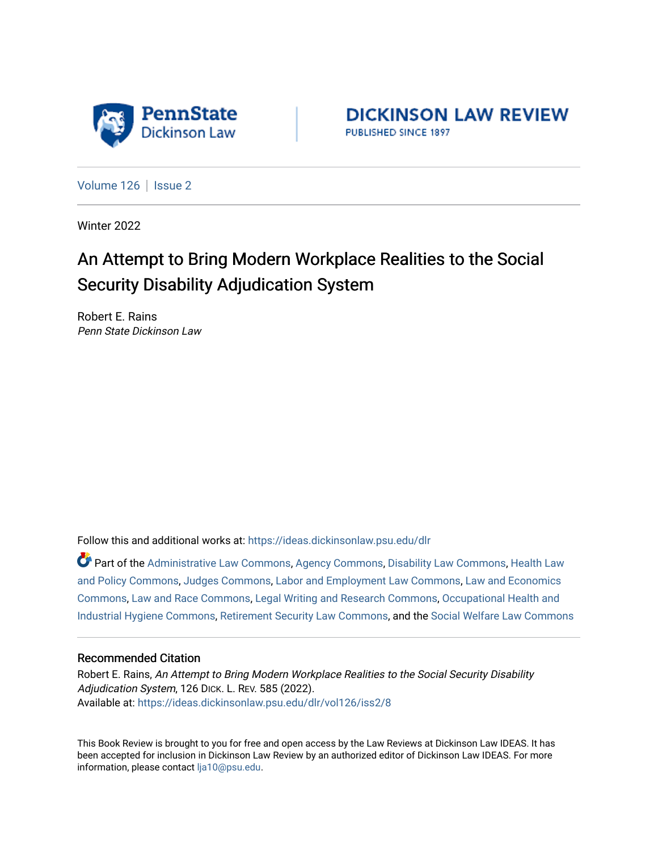

**DICKINSON LAW REVIEW** PUBLISHED SINCE 1897

[Volume 126](https://ideas.dickinsonlaw.psu.edu/dlr/vol126) | [Issue 2](https://ideas.dickinsonlaw.psu.edu/dlr/vol126/iss2)

Winter 2022

## An Attempt to Bring Modern Workplace Realities to the Social Security Disability Adjudication System

Robert E. Rains Penn State Dickinson Law

Follow this and additional works at: [https://ideas.dickinsonlaw.psu.edu/dlr](https://ideas.dickinsonlaw.psu.edu/dlr?utm_source=ideas.dickinsonlaw.psu.edu%2Fdlr%2Fvol126%2Fiss2%2F8&utm_medium=PDF&utm_campaign=PDFCoverPages) 

Part of the [Administrative Law Commons,](http://network.bepress.com/hgg/discipline/579?utm_source=ideas.dickinsonlaw.psu.edu%2Fdlr%2Fvol126%2Fiss2%2F8&utm_medium=PDF&utm_campaign=PDFCoverPages) [Agency Commons,](http://network.bepress.com/hgg/discipline/829?utm_source=ideas.dickinsonlaw.psu.edu%2Fdlr%2Fvol126%2Fiss2%2F8&utm_medium=PDF&utm_campaign=PDFCoverPages) [Disability Law Commons](http://network.bepress.com/hgg/discipline/1074?utm_source=ideas.dickinsonlaw.psu.edu%2Fdlr%2Fvol126%2Fiss2%2F8&utm_medium=PDF&utm_campaign=PDFCoverPages), [Health Law](http://network.bepress.com/hgg/discipline/901?utm_source=ideas.dickinsonlaw.psu.edu%2Fdlr%2Fvol126%2Fiss2%2F8&utm_medium=PDF&utm_campaign=PDFCoverPages) [and Policy Commons](http://network.bepress.com/hgg/discipline/901?utm_source=ideas.dickinsonlaw.psu.edu%2Fdlr%2Fvol126%2Fiss2%2F8&utm_medium=PDF&utm_campaign=PDFCoverPages), [Judges Commons](http://network.bepress.com/hgg/discipline/849?utm_source=ideas.dickinsonlaw.psu.edu%2Fdlr%2Fvol126%2Fiss2%2F8&utm_medium=PDF&utm_campaign=PDFCoverPages), [Labor and Employment Law Commons,](http://network.bepress.com/hgg/discipline/909?utm_source=ideas.dickinsonlaw.psu.edu%2Fdlr%2Fvol126%2Fiss2%2F8&utm_medium=PDF&utm_campaign=PDFCoverPages) [Law and Economics](http://network.bepress.com/hgg/discipline/612?utm_source=ideas.dickinsonlaw.psu.edu%2Fdlr%2Fvol126%2Fiss2%2F8&utm_medium=PDF&utm_campaign=PDFCoverPages) [Commons](http://network.bepress.com/hgg/discipline/612?utm_source=ideas.dickinsonlaw.psu.edu%2Fdlr%2Fvol126%2Fiss2%2F8&utm_medium=PDF&utm_campaign=PDFCoverPages), [Law and Race Commons](http://network.bepress.com/hgg/discipline/1300?utm_source=ideas.dickinsonlaw.psu.edu%2Fdlr%2Fvol126%2Fiss2%2F8&utm_medium=PDF&utm_campaign=PDFCoverPages), [Legal Writing and Research Commons](http://network.bepress.com/hgg/discipline/614?utm_source=ideas.dickinsonlaw.psu.edu%2Fdlr%2Fvol126%2Fiss2%2F8&utm_medium=PDF&utm_campaign=PDFCoverPages), [Occupational Health and](http://network.bepress.com/hgg/discipline/742?utm_source=ideas.dickinsonlaw.psu.edu%2Fdlr%2Fvol126%2Fiss2%2F8&utm_medium=PDF&utm_campaign=PDFCoverPages)  [Industrial Hygiene Commons,](http://network.bepress.com/hgg/discipline/742?utm_source=ideas.dickinsonlaw.psu.edu%2Fdlr%2Fvol126%2Fiss2%2F8&utm_medium=PDF&utm_campaign=PDFCoverPages) [Retirement Security Law Commons](http://network.bepress.com/hgg/discipline/873?utm_source=ideas.dickinsonlaw.psu.edu%2Fdlr%2Fvol126%2Fiss2%2F8&utm_medium=PDF&utm_campaign=PDFCoverPages), and the [Social Welfare Law Commons](http://network.bepress.com/hgg/discipline/878?utm_source=ideas.dickinsonlaw.psu.edu%2Fdlr%2Fvol126%2Fiss2%2F8&utm_medium=PDF&utm_campaign=PDFCoverPages)

## Recommended Citation

Robert E. Rains, An Attempt to Bring Modern Workplace Realities to the Social Security Disability Adjudication System, 126 DICK. L. REV. 585 (2022). Available at: [https://ideas.dickinsonlaw.psu.edu/dlr/vol126/iss2/8](https://ideas.dickinsonlaw.psu.edu/dlr/vol126/iss2/8?utm_source=ideas.dickinsonlaw.psu.edu%2Fdlr%2Fvol126%2Fiss2%2F8&utm_medium=PDF&utm_campaign=PDFCoverPages)

This Book Review is brought to you for free and open access by the Law Reviews at Dickinson Law IDEAS. It has been accepted for inclusion in Dickinson Law Review by an authorized editor of Dickinson Law IDEAS. For more information, please contact [lja10@psu.edu.](mailto:lja10@psu.edu)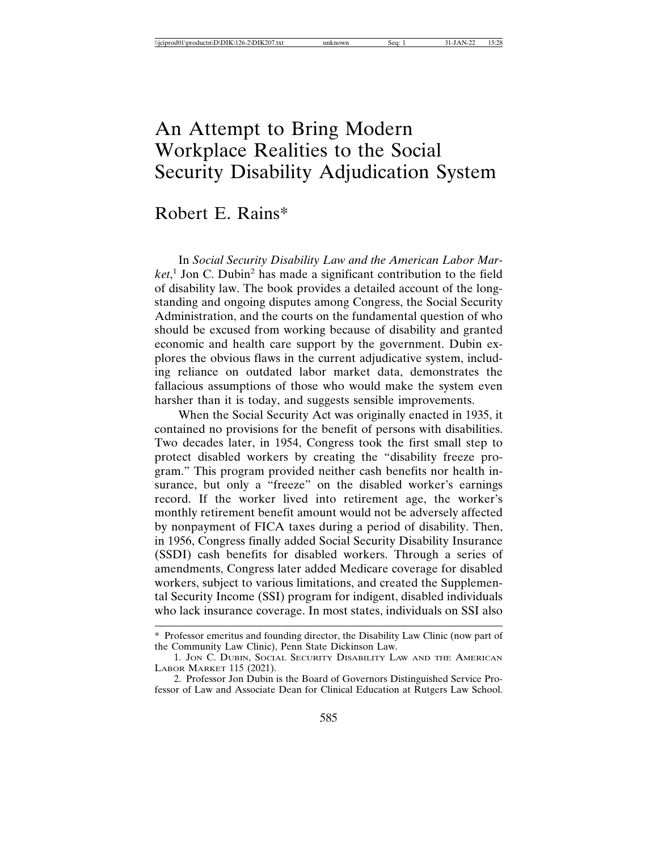## An Attempt to Bring Modern Workplace Realities to the Social Security Disability Adjudication System

## Robert E. Rains\*

In *Social Security Disability Law and the American Labor Mar*ket,<sup>1</sup> Jon C. Dubin<sup>2</sup> has made a significant contribution to the field of disability law. The book provides a detailed account of the longstanding and ongoing disputes among Congress, the Social Security Administration, and the courts on the fundamental question of who should be excused from working because of disability and granted economic and health care support by the government. Dubin explores the obvious flaws in the current adjudicative system, including reliance on outdated labor market data, demonstrates the fallacious assumptions of those who would make the system even harsher than it is today, and suggests sensible improvements.

When the Social Security Act was originally enacted in 1935, it contained no provisions for the benefit of persons with disabilities. Two decades later, in 1954, Congress took the first small step to protect disabled workers by creating the "disability freeze program." This program provided neither cash benefits nor health insurance, but only a "freeze" on the disabled worker's earnings record. If the worker lived into retirement age, the worker's monthly retirement benefit amount would not be adversely affected by nonpayment of FICA taxes during a period of disability. Then, in 1956, Congress finally added Social Security Disability Insurance (SSDI) cash benefits for disabled workers. Through a series of amendments, Congress later added Medicare coverage for disabled workers, subject to various limitations, and created the Supplemental Security Income (SSI) program for indigent, disabled individuals who lack insurance coverage. In most states, individuals on SSI also

<sup>\*</sup> Professor emeritus and founding director, the Disability Law Clinic (now part of the Community Law Clinic), Penn State Dickinson Law.

<sup>1.</sup> JON C. DUBIN, SOCIAL SECURITY DISABILITY LAW AND THE AMERICAN LABOR MARKET 115 (2021).

<sup>2.</sup> Professor Jon Dubin is the Board of Governors Distinguished Service Professor of Law and Associate Dean for Clinical Education at Rutgers Law School.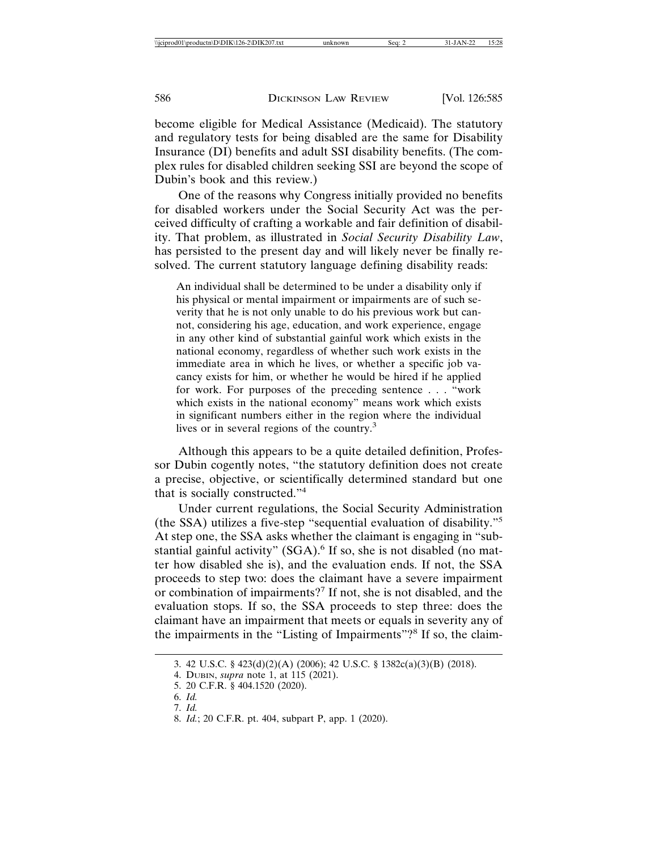become eligible for Medical Assistance (Medicaid). The statutory and regulatory tests for being disabled are the same for Disability Insurance (DI) benefits and adult SSI disability benefits. (The complex rules for disabled children seeking SSI are beyond the scope of Dubin's book and this review.)

One of the reasons why Congress initially provided no benefits for disabled workers under the Social Security Act was the perceived difficulty of crafting a workable and fair definition of disability. That problem, as illustrated in *Social Security Disability Law*, has persisted to the present day and will likely never be finally resolved. The current statutory language defining disability reads:

An individual shall be determined to be under a disability only if his physical or mental impairment or impairments are of such severity that he is not only unable to do his previous work but cannot, considering his age, education, and work experience, engage in any other kind of substantial gainful work which exists in the national economy, regardless of whether such work exists in the immediate area in which he lives, or whether a specific job vacancy exists for him, or whether he would be hired if he applied for work. For purposes of the preceding sentence . . . "work which exists in the national economy" means work which exists in significant numbers either in the region where the individual lives or in several regions of the country.3

Although this appears to be a quite detailed definition, Professor Dubin cogently notes, "the statutory definition does not create a precise, objective, or scientifically determined standard but one that is socially constructed."<sup>4</sup>

Under current regulations, the Social Security Administration (the SSA) utilizes a five-step "sequential evaluation of disability."<sup>5</sup> At step one, the SSA asks whether the claimant is engaging in "substantial gainful activity" (SGA).<sup>6</sup> If so, she is not disabled (no matter how disabled she is), and the evaluation ends. If not, the SSA proceeds to step two: does the claimant have a severe impairment or combination of impairments?<sup>7</sup> If not, she is not disabled, and the evaluation stops. If so, the SSA proceeds to step three: does the claimant have an impairment that meets or equals in severity any of the impairments in the "Listing of Impairments"?<sup>8</sup> If so, the claim-

<sup>3. 42</sup> U.S.C. § 423(d)(2)(A) (2006); 42 U.S.C. § 1382c(a)(3)(B) (2018).

<sup>4.</sup> DUBIN, *supra* note 1, at 115 (2021).

<sup>5. 20</sup> C.F.R. § 404.1520 (2020).

<sup>6.</sup> *Id.*

<sup>7.</sup> *Id.*

<sup>8.</sup> *Id.*; 20 C.F.R. pt. 404, subpart P, app. 1 (2020).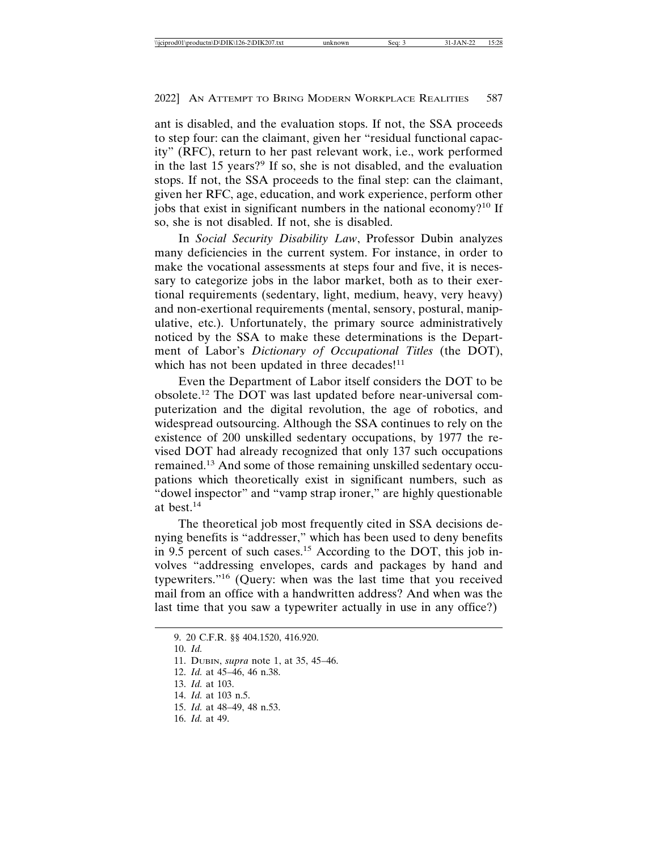ant is disabled, and the evaluation stops. If not, the SSA proceeds to step four: can the claimant, given her "residual functional capacity" (RFC), return to her past relevant work, i.e., work performed in the last 15 years?<sup>9</sup> If so, she is not disabled, and the evaluation stops. If not, the SSA proceeds to the final step: can the claimant, given her RFC, age, education, and work experience, perform other jobs that exist in significant numbers in the national economy?10 If so, she is not disabled. If not, she is disabled.

In *Social Security Disability Law*, Professor Dubin analyzes many deficiencies in the current system. For instance, in order to make the vocational assessments at steps four and five, it is necessary to categorize jobs in the labor market, both as to their exertional requirements (sedentary, light, medium, heavy, very heavy) and non-exertional requirements (mental, sensory, postural, manipulative, etc.). Unfortunately, the primary source administratively noticed by the SSA to make these determinations is the Department of Labor's *Dictionary of Occupational Titles* (the DOT), which has not been updated in three decades!<sup>11</sup>

Even the Department of Labor itself considers the DOT to be obsolete.12 The DOT was last updated before near-universal computerization and the digital revolution, the age of robotics, and widespread outsourcing. Although the SSA continues to rely on the existence of 200 unskilled sedentary occupations, by 1977 the revised DOT had already recognized that only 137 such occupations remained.13 And some of those remaining unskilled sedentary occupations which theoretically exist in significant numbers, such as "dowel inspector" and "vamp strap ironer," are highly questionable at best.<sup>14</sup>

The theoretical job most frequently cited in SSA decisions denying benefits is "addresser," which has been used to deny benefits in 9.5 percent of such cases.<sup>15</sup> According to the DOT, this job involves "addressing envelopes, cards and packages by hand and typewriters."16 (Query: when was the last time that you received mail from an office with a handwritten address? And when was the last time that you saw a typewriter actually in use in any office?)

<sup>9. 20</sup> C.F.R. §§ 404.1520, 416.920. 10. *Id.* 11. DUBIN, *supra* note 1, at 35, 45–46. 12. *Id.* at 45–46, 46 n.38. 13. *Id.* at 103. 14. *Id.* at 103 n.5. 15. *Id.* at 48–49, 48 n.53. 16. *Id.* at 49.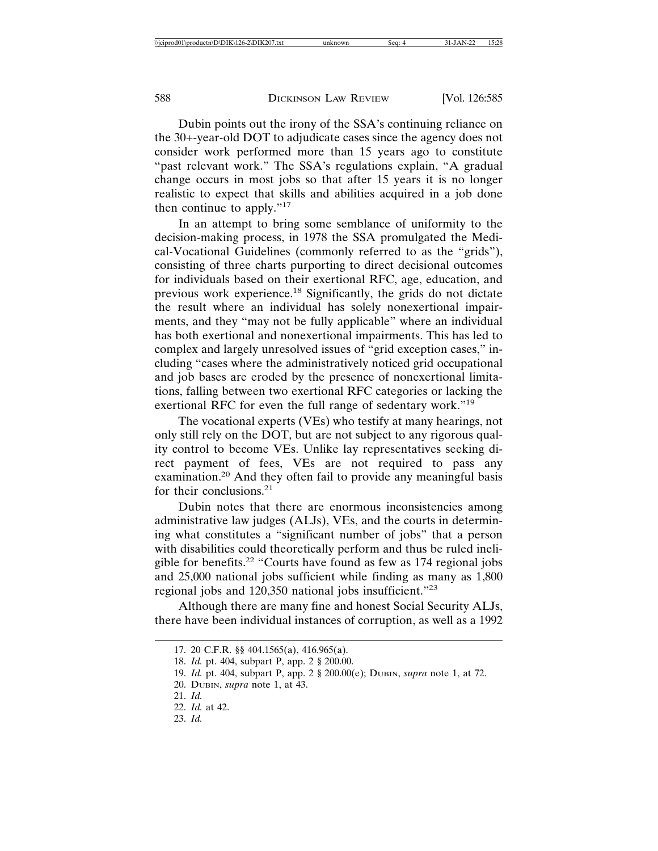Dubin points out the irony of the SSA's continuing reliance on the 30+-year-old DOT to adjudicate cases since the agency does not consider work performed more than 15 years ago to constitute "past relevant work." The SSA's regulations explain, "A gradual change occurs in most jobs so that after 15 years it is no longer realistic to expect that skills and abilities acquired in a job done then continue to apply."<sup>17</sup>

In an attempt to bring some semblance of uniformity to the decision-making process, in 1978 the SSA promulgated the Medical-Vocational Guidelines (commonly referred to as the "grids"), consisting of three charts purporting to direct decisional outcomes for individuals based on their exertional RFC, age, education, and previous work experience.<sup>18</sup> Significantly, the grids do not dictate the result where an individual has solely nonexertional impairments, and they "may not be fully applicable" where an individual has both exertional and nonexertional impairments. This has led to complex and largely unresolved issues of "grid exception cases," including "cases where the administratively noticed grid occupational and job bases are eroded by the presence of nonexertional limitations, falling between two exertional RFC categories or lacking the exertional RFC for even the full range of sedentary work."<sup>19</sup>

The vocational experts (VEs) who testify at many hearings, not only still rely on the DOT, but are not subject to any rigorous quality control to become VEs. Unlike lay representatives seeking direct payment of fees, VEs are not required to pass any examination.20 And they often fail to provide any meaningful basis for their conclusions.<sup>21</sup>

Dubin notes that there are enormous inconsistencies among administrative law judges (ALJs), VEs, and the courts in determining what constitutes a "significant number of jobs" that a person with disabilities could theoretically perform and thus be ruled ineligible for benefits.22 "Courts have found as few as 174 regional jobs and 25,000 national jobs sufficient while finding as many as 1,800 regional jobs and 120,350 national jobs insufficient."<sup>23</sup>

Although there are many fine and honest Social Security ALJs, there have been individual instances of corruption, as well as a 1992

<sup>17. 20</sup> C.F.R. §§ 404.1565(a), 416.965(a).

<sup>18.</sup> *Id.* pt. 404, subpart P, app. 2 § 200.00.

<sup>19.</sup> *Id.* pt. 404, subpart P, app. 2 § 200.00(e); DUBIN, *supra* note 1, at 72.

<sup>20.</sup> DUBIN, *supra* note 1, at 43.

<sup>21.</sup> *Id.*

<sup>22.</sup> *Id.* at 42.

<sup>23.</sup> *Id.*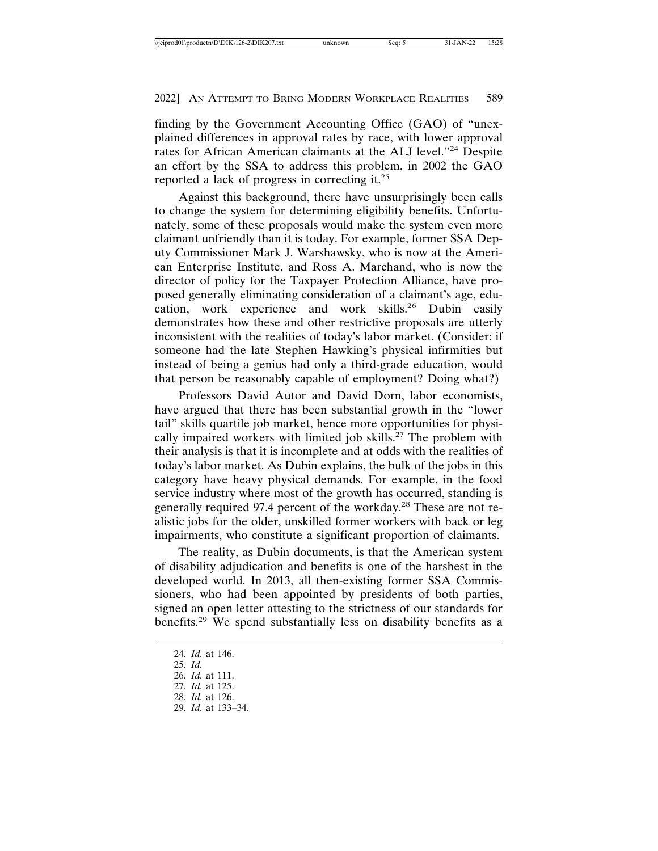finding by the Government Accounting Office (GAO) of "unexplained differences in approval rates by race, with lower approval rates for African American claimants at the ALJ level."24 Despite an effort by the SSA to address this problem, in 2002 the GAO reported a lack of progress in correcting it.<sup>25</sup>

Against this background, there have unsurprisingly been calls to change the system for determining eligibility benefits. Unfortunately, some of these proposals would make the system even more claimant unfriendly than it is today. For example, former SSA Deputy Commissioner Mark J. Warshawsky, who is now at the American Enterprise Institute, and Ross A. Marchand, who is now the director of policy for the Taxpayer Protection Alliance, have proposed generally eliminating consideration of a claimant's age, education, work experience and work skills.<sup>26</sup> Dubin easily demonstrates how these and other restrictive proposals are utterly inconsistent with the realities of today's labor market. (Consider: if someone had the late Stephen Hawking's physical infirmities but instead of being a genius had only a third-grade education, would that person be reasonably capable of employment? Doing what?)

Professors David Autor and David Dorn, labor economists, have argued that there has been substantial growth in the "lower tail" skills quartile job market, hence more opportunities for physically impaired workers with limited job skills.<sup>27</sup> The problem with their analysis is that it is incomplete and at odds with the realities of today's labor market. As Dubin explains, the bulk of the jobs in this category have heavy physical demands. For example, in the food service industry where most of the growth has occurred, standing is generally required 97.4 percent of the workday.28 These are not realistic jobs for the older, unskilled former workers with back or leg impairments, who constitute a significant proportion of claimants.

The reality, as Dubin documents, is that the American system of disability adjudication and benefits is one of the harshest in the developed world. In 2013, all then-existing former SSA Commissioners, who had been appointed by presidents of both parties, signed an open letter attesting to the strictness of our standards for benefits.29 We spend substantially less on disability benefits as a

24. *Id.* at 146. 25. *Id.* 26. *Id.* at 111. 27. *Id.* at 125. 28. *Id.* at 126. 29. *Id.* at 133–34.